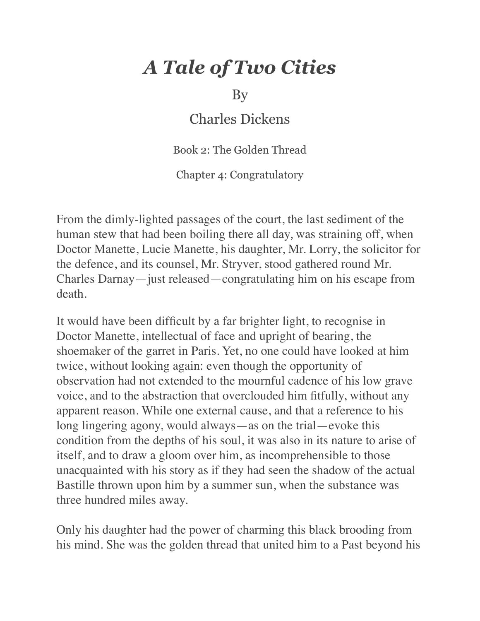## *A Tale of Two Cities*

By

Charles Dickens

Book 2: The Golden Thread

Chapter 4: Congratulatory

From the dimly-lighted passages of the court, the last sediment of the human stew that had been boiling there all day, was straining off, when Doctor Manette, Lucie Manette, his daughter, Mr. Lorry, the solicitor for the defence, and its counsel, Mr. Stryver, stood gathered round Mr. Charles Darnay—just released—congratulating him on his escape from death.

It would have been difficult by a far brighter light, to recognise in Doctor Manette, intellectual of face and upright of bearing, the shoemaker of the garret in Paris. Yet, no one could have looked at him twice, without looking again: even though the opportunity of observation had not extended to the mournful cadence of his low grave voice, and to the abstraction that overclouded him fitfully, without any apparent reason. While one external cause, and that a reference to his long lingering agony, would always—as on the trial—evoke this condition from the depths of his soul, it was also in its nature to arise of itself, and to draw a gloom over him, as incomprehensible to those unacquainted with his story as if they had seen the shadow of the actual Bastille thrown upon him by a summer sun, when the substance was three hundred miles away.

Only his daughter had the power of charming this black brooding from his mind. She was the golden thread that united him to a Past beyond his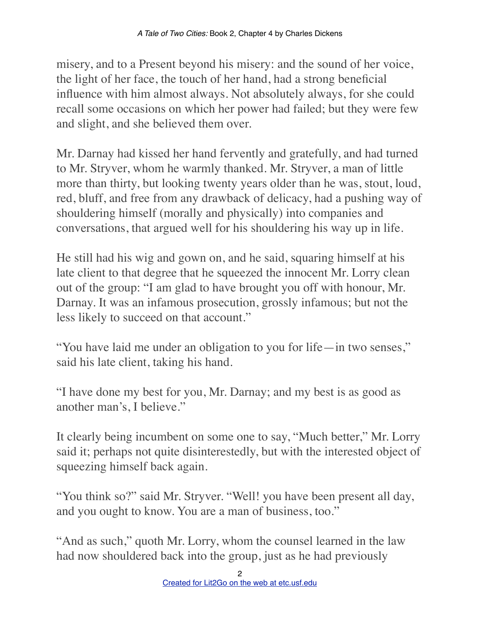misery, and to a Present beyond his misery: and the sound of her voice, the light of her face, the touch of her hand, had a strong beneficial influence with him almost always. Not absolutely always, for she could recall some occasions on which her power had failed; but they were few and slight, and she believed them over.

Mr. Darnay had kissed her hand fervently and gratefully, and had turned to Mr. Stryver, whom he warmly thanked. Mr. Stryver, a man of little more than thirty, but looking twenty years older than he was, stout, loud, red, bluff, and free from any drawback of delicacy, had a pushing way of shouldering himself (morally and physically) into companies and conversations, that argued well for his shouldering his way up in life.

He still had his wig and gown on, and he said, squaring himself at his late client to that degree that he squeezed the innocent Mr. Lorry clean out of the group: "I am glad to have brought you off with honour, Mr. Darnay. It was an infamous prosecution, grossly infamous; but not the less likely to succeed on that account."

"You have laid me under an obligation to you for life—in two senses," said his late client, taking his hand.

"I have done my best for you, Mr. Darnay; and my best is as good as another man's, I believe."

It clearly being incumbent on some one to say, "Much better," Mr. Lorry said it; perhaps not quite disinterestedly, but with the interested object of squeezing himself back again.

"You think so?" said Mr. Stryver. "Well! you have been present all day, and you ought to know. You are a man of business, too."

"And as such," quoth Mr. Lorry, whom the counsel learned in the law had now shouldered back into the group, just as he had previously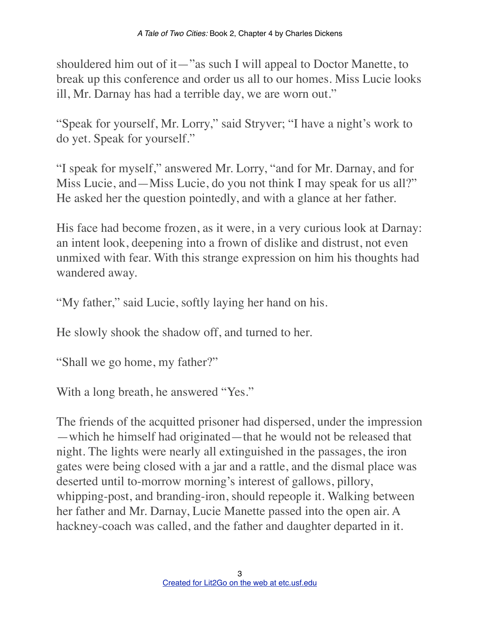shouldered him out of it—"as such I will appeal to Doctor Manette, to break up this conference and order us all to our homes. Miss Lucie looks ill, Mr. Darnay has had a terrible day, we are worn out."

"Speak for yourself, Mr. Lorry," said Stryver; "I have a night's work to do yet. Speak for yourself."

"I speak for myself," answered Mr. Lorry, "and for Mr. Darnay, and for Miss Lucie, and—Miss Lucie, do you not think I may speak for us all?" He asked her the question pointedly, and with a glance at her father.

His face had become frozen, as it were, in a very curious look at Darnay: an intent look, deepening into a frown of dislike and distrust, not even unmixed with fear. With this strange expression on him his thoughts had wandered away.

"My father," said Lucie, softly laying her hand on his.

He slowly shook the shadow off, and turned to her.

"Shall we go home, my father?"

With a long breath, he answered "Yes."

The friends of the acquitted prisoner had dispersed, under the impression —which he himself had originated—that he would not be released that night. The lights were nearly all extinguished in the passages, the iron gates were being closed with a jar and a rattle, and the dismal place was deserted until to-morrow morning's interest of gallows, pillory, whipping-post, and branding-iron, should repeople it. Walking between her father and Mr. Darnay, Lucie Manette passed into the open air. A hackney-coach was called, and the father and daughter departed in it.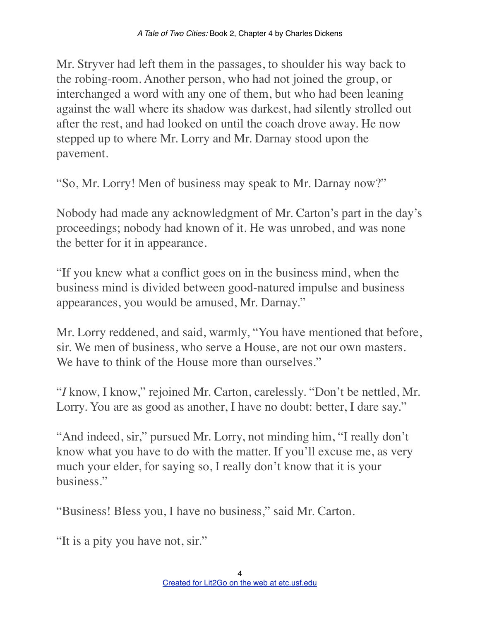Mr. Stryver had left them in the passages, to shoulder his way back to the robing-room. Another person, who had not joined the group, or interchanged a word with any one of them, but who had been leaning against the wall where its shadow was darkest, had silently strolled out after the rest, and had looked on until the coach drove away. He now stepped up to where Mr. Lorry and Mr. Darnay stood upon the pavement.

"So, Mr. Lorry! Men of business may speak to Mr. Darnay now?"

Nobody had made any acknowledgment of Mr. Carton's part in the day's proceedings; nobody had known of it. He was unrobed, and was none the better for it in appearance.

"If you knew what a conflict goes on in the business mind, when the business mind is divided between good-natured impulse and business appearances, you would be amused, Mr. Darnay."

Mr. Lorry reddened, and said, warmly, "You have mentioned that before, sir. We men of business, who serve a House, are not our own masters. We have to think of the House more than ourselves."

"*I* know, I know," rejoined Mr. Carton, carelessly. "Don't be nettled, Mr. Lorry. You are as good as another, I have no doubt: better, I dare say."

"And indeed, sir," pursued Mr. Lorry, not minding him, "I really don't know what you have to do with the matter. If you'll excuse me, as very much your elder, for saying so, I really don't know that it is your business."

"Business! Bless you, I have no business," said Mr. Carton.

"It is a pity you have not, sir."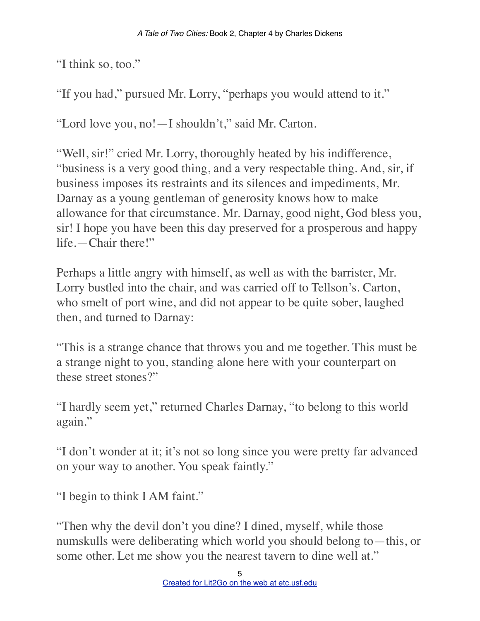"I think so, too."

"If you had," pursued Mr. Lorry, "perhaps you would attend to it."

"Lord love you, no!—I shouldn't," said Mr. Carton.

"Well, sir!" cried Mr. Lorry, thoroughly heated by his indifference, "business is a very good thing, and a very respectable thing. And, sir, if business imposes its restraints and its silences and impediments, Mr. Darnay as a young gentleman of generosity knows how to make allowance for that circumstance. Mr. Darnay, good night, God bless you, sir! I hope you have been this day preserved for a prosperous and happy life.—Chair there!"

Perhaps a little angry with himself, as well as with the barrister, Mr. Lorry bustled into the chair, and was carried off to Tellson's. Carton, who smelt of port wine, and did not appear to be quite sober, laughed then, and turned to Darnay:

"This is a strange chance that throws you and me together. This must be a strange night to you, standing alone here with your counterpart on these street stones?"

"I hardly seem yet," returned Charles Darnay, "to belong to this world again."

"I don't wonder at it; it's not so long since you were pretty far advanced on your way to another. You speak faintly."

"I begin to think I AM faint."

"Then why the devil don't you dine? I dined, myself, while those numskulls were deliberating which world you should belong to—this, or some other. Let me show you the nearest tavern to dine well at."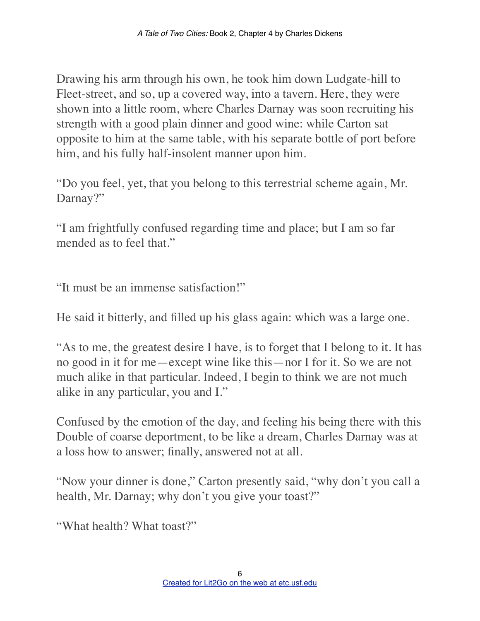Drawing his arm through his own, he took him down Ludgate-hill to Fleet-street, and so, up a covered way, into a tavern. Here, they were shown into a little room, where Charles Darnay was soon recruiting his strength with a good plain dinner and good wine: while Carton sat opposite to him at the same table, with his separate bottle of port before him, and his fully half-insolent manner upon him.

"Do you feel, yet, that you belong to this terrestrial scheme again, Mr. Darnay?"

"I am frightfully confused regarding time and place; but I am so far mended as to feel that."

"It must be an immense satisfaction!"

He said it bitterly, and filled up his glass again: which was a large one.

"As to me, the greatest desire I have, is to forget that I belong to it. It has no good in it for me—except wine like this—nor I for it. So we are not much alike in that particular. Indeed, I begin to think we are not much alike in any particular, you and I."

Confused by the emotion of the day, and feeling his being there with this Double of coarse deportment, to be like a dream, Charles Darnay was at a loss how to answer; finally, answered not at all.

"Now your dinner is done," Carton presently said, "why don't you call a health, Mr. Darnay; why don't you give your toast?"

"What health? What toast?"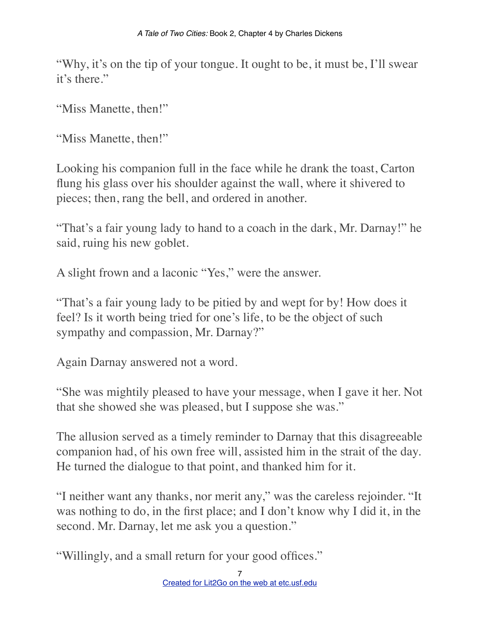"Why, it's on the tip of your tongue. It ought to be, it must be, I'll swear it's there."

"Miss Manette, then!"

"Miss Manette, then!"

Looking his companion full in the face while he drank the toast, Carton flung his glass over his shoulder against the wall, where it shivered to pieces; then, rang the bell, and ordered in another.

"That's a fair young lady to hand to a coach in the dark, Mr. Darnay!" he said, ruing his new goblet.

A slight frown and a laconic "Yes," were the answer.

"That's a fair young lady to be pitied by and wept for by! How does it feel? Is it worth being tried for one's life, to be the object of such sympathy and compassion, Mr. Darnay?"

Again Darnay answered not a word.

"She was mightily pleased to have your message, when I gave it her. Not that she showed she was pleased, but I suppose she was."

The allusion served as a timely reminder to Darnay that this disagreeable companion had, of his own free will, assisted him in the strait of the day. He turned the dialogue to that point, and thanked him for it.

"I neither want any thanks, nor merit any," was the careless rejoinder. "It was nothing to do, in the first place; and I don't know why I did it, in the second. Mr. Darnay, let me ask you a question."

"Willingly, and a small return for your good offices."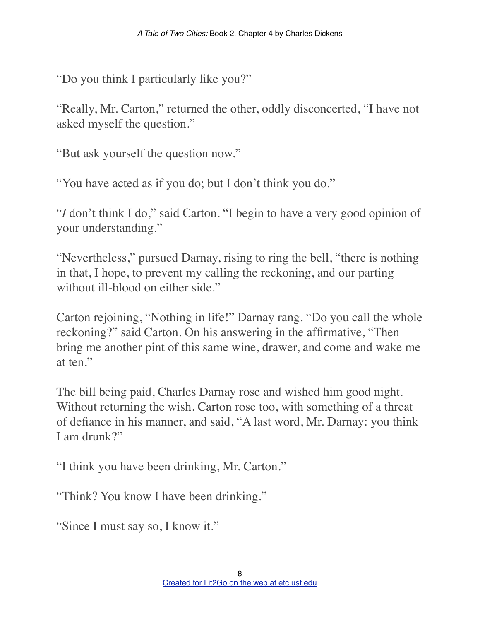"Do you think I particularly like you?"

"Really, Mr. Carton," returned the other, oddly disconcerted, "I have not asked myself the question."

"But ask yourself the question now."

"You have acted as if you do; but I don't think you do."

"*I* don't think I do," said Carton. "I begin to have a very good opinion of your understanding."

"Nevertheless," pursued Darnay, rising to ring the bell, "there is nothing in that, I hope, to prevent my calling the reckoning, and our parting without ill-blood on either side."

Carton rejoining, "Nothing in life!" Darnay rang. "Do you call the whole reckoning?" said Carton. On his answering in the affirmative, "Then bring me another pint of this same wine, drawer, and come and wake me at ten."

The bill being paid, Charles Darnay rose and wished him good night. Without returning the wish, Carton rose too, with something of a threat of defiance in his manner, and said, "A last word, Mr. Darnay: you think I am drunk?"

"I think you have been drinking, Mr. Carton."

"Think? You know I have been drinking."

"Since I must say so, I know it."